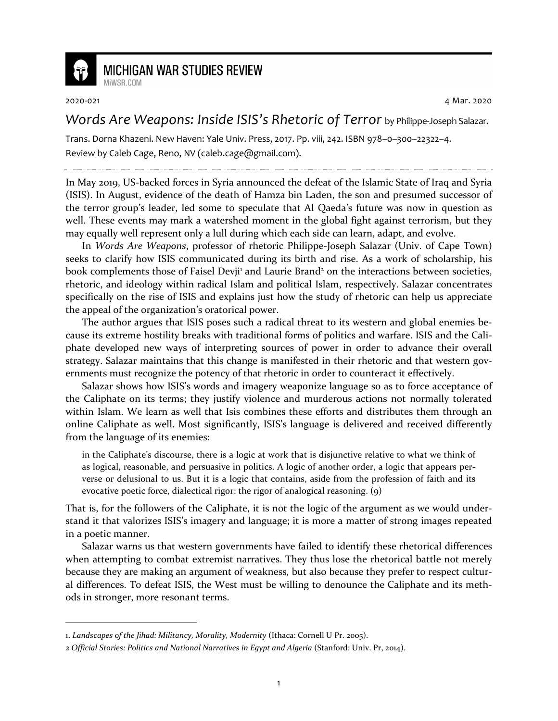

## **MICHIGAN WAR STUDIES REVIEW**

MiWSR COM

2020-021 4 Mar. 2020

*Words Are Weapons: Inside ISIS's Rhetoric of Terror* by Philippe-Joseph Salazar.

Trans. Dorna Khazeni. New Haven: Yale Univ. Press, 2017. Pp. viii, 242. ISBN 978–0–300–22322–4. Review by Caleb Cage, Reno, NV (caleb.cage@gmail.com).

In May 2019, US-backed forces in Syria announced the defeat of the Islamic State of Iraq and Syria (ISIS). In August, evidence of the death of Hamza bin Laden, the son and presumed successor of the terror group's leader, led some to speculate that Al Qaeda's future was now in question as well. These events may mark a watershed moment in the global fight against terrorism, but they may equally well represent only a lull during which each side can learn, adapt, and evolve.

In *Words Are Weapons*, professor of rhetoric Philippe-Joseph Salazar (Univ. of Cape Town) seeks to clarify how ISIS communicated during its birth and rise. As a work of scholarship, his book complements those of Faisel Devji<sup>1</sup> and Laurie Brand<sup>2</sup> on the interactions between societies, rhetoric, and ideology within radical Islam and political Islam, respectively. Salazar concentrates specifically on the rise of ISIS and explains just how the study of rhetoric can help us appreciate the appeal of the organization's oratorical power.

The author argues that ISIS poses such a radical threat to its western and global enemies because its extreme hostility breaks with traditional forms of politics and warfare. ISIS and the Caliphate developed new ways of interpreting sources of power in order to advance their overall strategy. Salazar maintains that this change is manifested in their rhetoric and that western governments must recognize the potency of that rhetoric in order to counteract it effectively.

Salazar shows how ISIS's words and imagery weaponize language so as to force acceptance of the Caliphate on its terms; they justify violence and murderous actions not normally tolerated within Islam. We learn as well that Isis combines these efforts and distributes them through an online Caliphate as well. Most significantly, ISIS's language is delivered and received differently from the language of its enemies:

in the Caliphate's discourse, there is a logic at work that is disjunctive relative to what we think of as logical, reasonable, and persuasive in politics. A logic of another order, a logic that appears perverse or delusional to us. But it is a logic that contains, aside from the profession of faith and its evocative poetic force, dialectical rigor: the rigor of analogical reasoning. (9)

That is, for the followers of the Caliphate, it is not the logic of the argument as we would understand it that valorizes ISIS's imagery and language; it is more a matter of strong images repeated in a poetic manner.

Salazar warns us that western governments have failed to identify these rhetorical differences when attempting to combat extremist narratives. They thus lose the rhetorical battle not merely because they are making an argument of weakness, but also because they prefer to respect cultural differences. To defeat ISIS, the West must be willing to denounce the Caliphate and its methods in stronger, more resonant terms.

<sup>1.</sup> *Landscapes of the Jihad: Militancy, Morality, Modernity* (Ithaca: Cornell U Pr. 2005).

*<sup>2</sup> Official Stories: Politics and National Narratives in Egypt and Algeria* (Stanford: Univ. Pr, 2014).